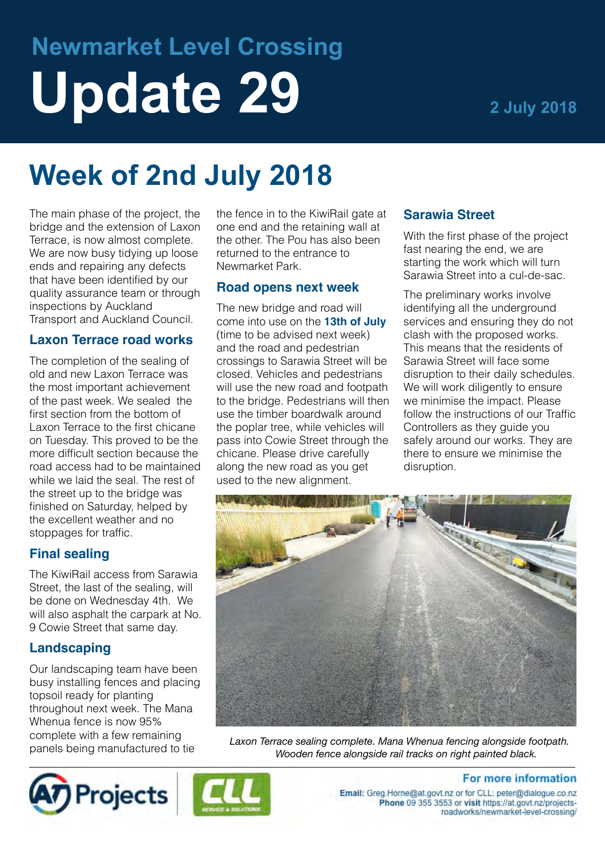# **Newmarket Level Crossing** Update 29 **20 2 July 2018**

## **Week of 2nd July 2018**

The main phase of the project, the bridge and the extension of Laxon Terrace, is now almost complete. We are now busy tidving up loose ends and repairing any defects that have been identified by our quality assurance team or through inspections by Auckland Transport and Auckland Council.

#### **Laxon Terrace road works**

The completion of the sealing of old and new Laxon Terrace was the most important achievement of the past week. We sealed the first section from the bottom of Laxon Terrace to the first chicane on Tuesday. This proved to be the more difficult section because the road access had to be maintained while we laid the seal. The rest of the street up to the bridge was finished on Saturday, helped by the excellent weather and no stoppages for traffic.

#### **Final sealing**

The KiwiRail access from Sarawia Street, the last of the sealing, will be done on Wednesday 4th. We will also asphalt the carpark at No. 9 Cowie Street that same day.

#### **Landscaping**

Our landscaping team have been busy installing fences and placing topsoil ready for planting throughout next week. The Mana Whenua fence is now 95% complete with a few remaining panels being manufactured to tie

the fence in to the KiwiRail gate at one end and the retaining wall at the other. The Pou has also been returned to the entrance to Newmarket Park.

#### **Road opens next week**

The new bridge and road will come into use on the **13th of July**  (time to be advised next week) and the road and pedestrian crossings to Sarawia Street will be closed. Vehicles and pedestrians will use the new road and footpath to the bridge. Pedestrians will then use the timber boardwalk around the poplar tree, while vehicles will pass into Cowie Street through the chicane. Please drive carefully along the new road as you get used to the new alignment.

#### **Sarawia Street**

With the first phase of the project fast nearing the end, we are starting the work which will turn Sarawia Street into a cul-de-sac.

The preliminary works involve identifying all the underground services and ensuring they do not clash with the proposed works. This means that the residents of Sarawia Street will face some disruption to their daily schedules. We will work diligently to ensure we minimise the impact. Please follow the instructions of our Traffic Controllers as they guide you safely around our works. They are there to ensure we minimise the disruption.



*Laxon Terrace sealing complete. Mana Whenua fencing alongside footpath. Wooden fence alongside rail tracks on right painted black.*